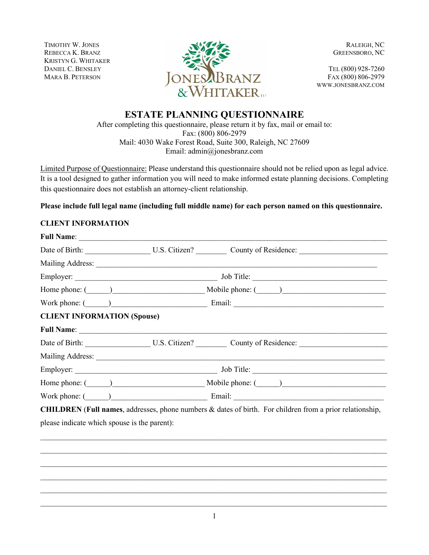TIMOTHY W. JONES REBECCA K. BRANZ KRISTYN G. WHITAKER DANIEL C. BENSLEY MARA B. PETERSON



RALEIGH, NC GREENSBORO, NC

TEL (800) 928-7260 FAX (800) 806-2979 WWW.JONESBRANZ.COM

# **ESTATE PLANNING QUESTIONNAIRE**

After completing this questionnaire, please return it by fax, mail or email to: Fax: (800) 806-2979 Mail: 4030 Wake Forest Road, Suite 300, Raleigh, NC 27609 Email: admin@jonesbranz.com

Limited Purpose of Questionnaire: Please understand this questionnaire should not be relied upon as legal advice. It is a tool designed to gather information you will need to make informed estate planning decisions. Completing this questionnaire does not establish an attorney-client relationship.

**Please include full legal name (including full middle name) for each person named on this questionnaire.**

# **CLIENT INFORMATION**

|                                    | Work phone: $\qquad \qquad$                                                                                                                                                                                                    |
|------------------------------------|--------------------------------------------------------------------------------------------------------------------------------------------------------------------------------------------------------------------------------|
| <b>CLIENT INFORMATION (Spouse)</b> |                                                                                                                                                                                                                                |
|                                    |                                                                                                                                                                                                                                |
|                                    |                                                                                                                                                                                                                                |
|                                    | Mailing Address: 1988 Mailing Address: 1988 Mailing Address: 1988 Mailing Address: 1988 Mailing Address: 1988 Mailing Address: 1988 Mailing Address: 1988 Mailing Address: 1988 Mailing Address: 1988 Mailing Address: 1988 Ma |
|                                    |                                                                                                                                                                                                                                |
|                                    |                                                                                                                                                                                                                                |
|                                    | Work phone: (Champion Communication Communication Communication Communication Communication Communication Communication Communication Communication Communication Communication Communication Communication Communication Comm |
|                                    | CHILDREN (Full names, addresses, phone numbers & dates of birth. For children from a prior relationship,                                                                                                                       |
|                                    | please indicate which spouse is the parent):                                                                                                                                                                                   |
|                                    |                                                                                                                                                                                                                                |
|                                    |                                                                                                                                                                                                                                |
|                                    |                                                                                                                                                                                                                                |

 $\_$  $\_$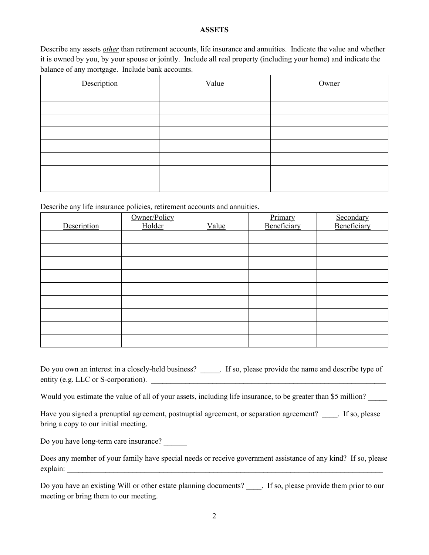#### **ASSETS**

Describe any assets *other* than retirement accounts, life insurance and annuities. Indicate the value and whether it is owned by you, by your spouse or jointly. Include all real property (including your home) and indicate the balance of any mortgage. Include bank accounts.

| Description | Value | Owner |
|-------------|-------|-------|
|             |       |       |
|             |       |       |
|             |       |       |
|             |       |       |
|             |       |       |
|             |       |       |
|             |       |       |
|             |       |       |

Describe any life insurance policies, retirement accounts and annuities.

|             | Owner/Policy<br>Holder |       | Primary<br>Beneficiary | Secondary<br>Beneficiary |
|-------------|------------------------|-------|------------------------|--------------------------|
| Description |                        | Value |                        |                          |
|             |                        |       |                        |                          |
|             |                        |       |                        |                          |
|             |                        |       |                        |                          |
|             |                        |       |                        |                          |
|             |                        |       |                        |                          |
|             |                        |       |                        |                          |
|             |                        |       |                        |                          |
|             |                        |       |                        |                          |
|             |                        |       |                        |                          |

Do you own an interest in a closely-held business? \_\_\_\_\_. If so, please provide the name and describe type of entity (e.g. LLC or S-corporation).

Would you estimate the value of all of your assets, including life insurance, to be greater than \$5 million?

Have you signed a prenuptial agreement, postnuptial agreement, or separation agreement? Fig. please bring a copy to our initial meeting.

Do you have long-term care insurance?

Does any member of your family have special needs or receive government assistance of any kind? If so, please explain:

Do you have an existing Will or other estate planning documents? Fig. please provide them prior to our meeting or bring them to our meeting.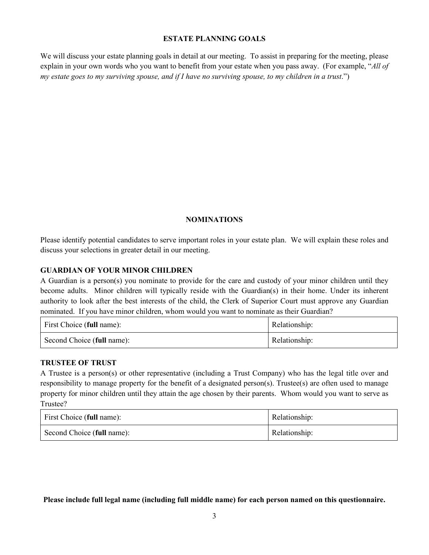### **ESTATE PLANNING GOALS**

We will discuss your estate planning goals in detail at our meeting. To assist in preparing for the meeting, please explain in your own words who you want to benefit from your estate when you pass away. (For example, "*All of my estate goes to my surviving spouse, and if I have no surviving spouse, to my children in a trust*.")

# **NOMINATIONS**

Please identify potential candidates to serve important roles in your estate plan. We will explain these roles and discuss your selections in greater detail in our meeting.

### **GUARDIAN OF YOUR MINOR CHILDREN**

A Guardian is a person(s) you nominate to provide for the care and custody of your minor children until they become adults. Minor children will typically reside with the Guardian(s) in their home. Under its inherent authority to look after the best interests of the child, the Clerk of Superior Court must approve any Guardian nominated. If you have minor children, whom would you want to nominate as their Guardian?

| First Choice (full name):  | Relationship: |
|----------------------------|---------------|
| Second Choice (full name): | Relationship: |

### **TRUSTEE OF TRUST**

A Trustee is a person(s) or other representative (including a Trust Company) who has the legal title over and responsibility to manage property for the benefit of a designated person(s). Trustee(s) are often used to manage property for minor children until they attain the age chosen by their parents. Whom would you want to serve as Trustee?

| First Choice (full name):  | Relationship: |
|----------------------------|---------------|
| Second Choice (full name): | Relationship: |

**Please include full legal name (including full middle name) for each person named on this questionnaire.**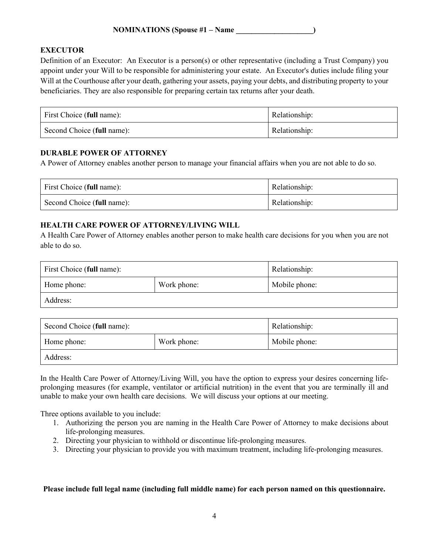# **EXECUTOR**

Definition of an Executor: An Executor is a person(s) or other representative (including a Trust Company) you appoint under your Will to be responsible for administering your estate. An Executor's duties include filing your Will at the Courthouse after your death, gathering your assets, paying your debts, and distributing property to your beneficiaries. They are also responsible for preparing certain tax returns after your death.

| First Choice (full name):  | Relationship: |
|----------------------------|---------------|
| Second Choice (full name): | Relationship: |

### **DURABLE POWER OF ATTORNEY**

A Power of Attorney enables another person to manage your financial affairs when you are not able to do so.

| First Choice (full name):  | Relationship: |
|----------------------------|---------------|
| Second Choice (full name): | Relationship: |

# **HEALTH CARE POWER OF ATTORNEY/LIVING WILL**

A Health Care Power of Attorney enables another person to make health care decisions for you when you are not able to do so.

| First Choice (full name):  |  | Relationship: |
|----------------------------|--|---------------|
| Home phone:<br>Work phone: |  | Mobile phone: |
| Address:                   |  |               |

| Second Choice (full name): |  | Relationship: |
|----------------------------|--|---------------|
| Work phone:<br>Home phone: |  | Mobile phone: |
| Address:                   |  |               |

In the Health Care Power of Attorney/Living Will, you have the option to express your desires concerning lifeprolonging measures (for example, ventilator or artificial nutrition) in the event that you are terminally ill and unable to make your own health care decisions. We will discuss your options at our meeting.

Three options available to you include:

- 1. Authorizing the person you are naming in the Health Care Power of Attorney to make decisions about life-prolonging measures.
- 2. Directing your physician to withhold or discontinue life-prolonging measures.
- 3. Directing your physician to provide you with maximum treatment, including life-prolonging measures.

#### **Please include full legal name (including full middle name) for each person named on this questionnaire.**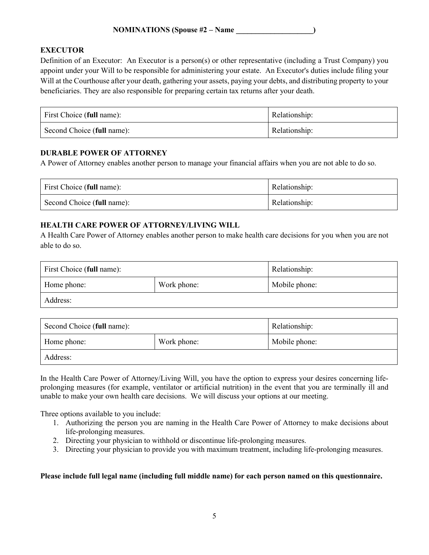# **EXECUTOR**

Definition of an Executor: An Executor is a person(s) or other representative (including a Trust Company) you appoint under your Will to be responsible for administering your estate. An Executor's duties include filing your Will at the Courthouse after your death, gathering your assets, paying your debts, and distributing property to your beneficiaries. They are also responsible for preparing certain tax returns after your death.

| First Choice (full name):  | Relationship: |
|----------------------------|---------------|
| Second Choice (full name): | Relationship: |

### **DURABLE POWER OF ATTORNEY**

A Power of Attorney enables another person to manage your financial affairs when you are not able to do so.

| First Choice (full name):  | Relationship: |
|----------------------------|---------------|
| Second Choice (full name): | Relationship: |

# **HEALTH CARE POWER OF ATTORNEY/LIVING WILL**

A Health Care Power of Attorney enables another person to make health care decisions for you when you are not able to do so.

| First Choice (full name):  |  | Relationship: |
|----------------------------|--|---------------|
| Work phone:<br>Home phone: |  | Mobile phone: |
| Address:                   |  |               |

| Second Choice (full name): |             | Relationship: |
|----------------------------|-------------|---------------|
| Home phone:                | Work phone: | Mobile phone: |
| Address:                   |             |               |

In the Health Care Power of Attorney/Living Will, you have the option to express your desires concerning lifeprolonging measures (for example, ventilator or artificial nutrition) in the event that you are terminally ill and unable to make your own health care decisions. We will discuss your options at our meeting.

Three options available to you include:

- 1. Authorizing the person you are naming in the Health Care Power of Attorney to make decisions about life-prolonging measures.
- 2. Directing your physician to withhold or discontinue life-prolonging measures.
- 3. Directing your physician to provide you with maximum treatment, including life-prolonging measures.

### **Please include full legal name (including full middle name) for each person named on this questionnaire.**